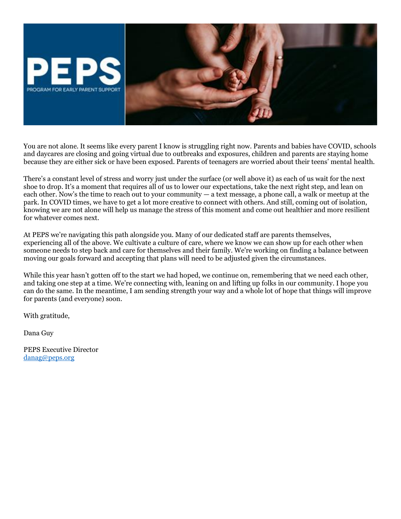

You are not alone. It seems like every parent I know is struggling right now. Parents and babies have COVID, schools and daycares are closing and going virtual due to outbreaks and exposures, children and parents are staying home because they are either sick or have been exposed. Parents of teenagers are worried about their teens' mental health.

There's a constant level of stress and worry just under the surface (or well above it) as each of us wait for the next shoe to drop. It's a moment that requires all of us to lower our expectations, take the next right step, and lean on each other. Now's the time to reach out to your community — a text message, a phone call, a walk or meetup at the park. In COVID times, we have to get a lot more creative to connect with others. And still, coming out of isolation, knowing we are not alone will help us manage the stress of this moment and come out healthier and more resilient for whatever comes next.

At PEPS we're navigating this path alongside you. Many of our dedicated staff are parents themselves, experiencing all of the above. We cultivate a culture of care, where we know we can show up for each other when someone needs to step back and care for themselves and their family. We're working on finding a balance between moving our goals forward and accepting that plans will need to be adjusted given the circumstances.

While this year hasn't gotten off to the start we had hoped, we continue on, remembering that we need each other, and taking one step at a time. We're connecting with, leaning on and lifting up folks in our community. I hope you can do the same. In the meantime, I am sending strength your way and a whole lot of hope that things will improve for parents (and everyone) soon.

With gratitude,

Dana Guy

PEPS Executive Director [danag@peps.org](mailto:danag@peps.org)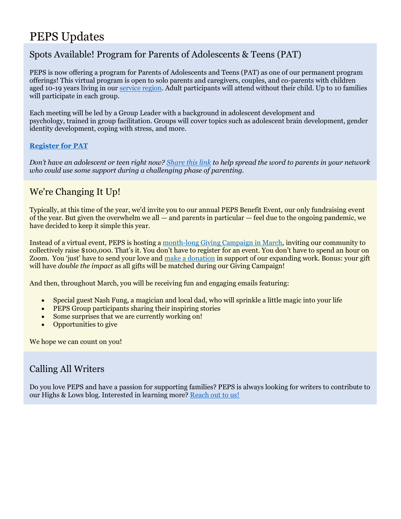# PEPS Updates

### Spots Available! Program for Parents of Adolescents & Teens (PAT)

PEPS is now offering a program for Parents of Adolescents and Teens (PAT) as one of our permanent program offerings! This virtual program is open to solo parents and caregivers, couples, and co-parents with children aged 10-19 years living in our [service region.](https://www.peps.org/programs/images/peps-neighborhood-map) Adult participants will attend without their child. Up to 10 families will participate in each group.

Each meeting will be led by a Group Leader with a background in adolescent development and psychology, trained in group facilitation. Groups will cover topics such as adolescent brain development, gender identity development, coping with stress, and more.

#### **[Register for PAT](https://www.peps.org/programs/parents-of-adolescents-and-teens)**

*Don't have an adolescent or teen right now? [Share this link](https://www.peps.org/programs/parents-of-adolescents-and-teens) to help spread the word to parents in your network who could use some support during a challenging phase of parenting.*

### We're Changing It Up!

Typically, at this time of the year, we'd invite you to our annual PEPS Benefit Event, our only fundraising event of the year. But given the overwhelm we all — and parents in particular — feel due to the ongoing pandemic, we have decided to keep it simple this year.

Instead of a virtual event, PEPS is hosting a [month-long Giving Campaign in March,](https://www.peps.org/give/PEPS-benefit-event) inviting our community to collectively raise \$100,000. That's it. You don't have to register for an event. You don't have to spend an hour on Zoom. You 'just' have to send your love and [make a donation](http://secure.givelively.org/donate/program-for-early-parent-support/2022-peps-community-benefit) in support of our expanding work. Bonus: your gift will have *double the impact* as all gifts will be matched during our Giving Campaign!

And then, throughout March, you will be receiving fun and engaging emails featuring:

- Special guest Nash Fung, a magician and local dad, who will sprinkle a little magic into your life
- PEPS Group participants sharing their inspiring stories
- Some surprises that we are currently working on!
- Opportunities to give

We hope we can count on you!

### Calling All Writers

Do you love PEPS and have a passion for supporting families? PEPS is always looking for writers to contribute to our Highs & Lows blog. Interested in learning more? [Reach out to us!](mailto:sarahb@peps.org)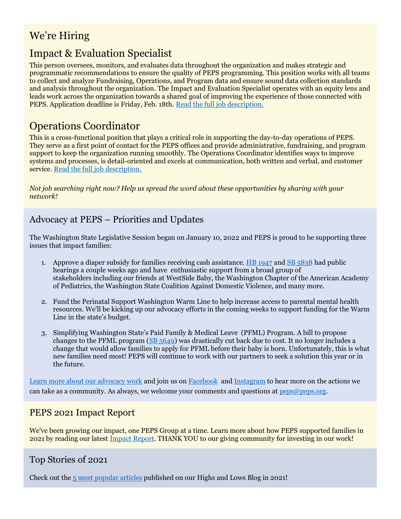## We're Hiring

## Impact & Evaluation Specialist

This person oversees, monitors, and evaluates data throughout the organization and makes strategic and programmatic recommendations to ensure the quality of PEPS programming. This position works with all teams to collect and analyze Fundraising, Operations, and Program data and ensure sound data collection standards and analysis throughout the organization. The Impact and Evaluation Specialist operates with an equity lens and leads work across the organization towards a shared goal of improving the experience of those connected with PEPS. Application deadline is Friday, Feb. 18th. [Read the full job description.](https://elink.clickdimensions.com/c/7/eyJhaSI6ODA0NzU5ODIsImUiOiJzd2FybmltYWRhQHBlcHMub3JnIiwicmkiOiJjb250YWN0LTE1MDQ3ZDE0NzExNGU5MTFhOTVlMDAwZDNhMzY5Y2Q0LTNkODY4MDEwOWVjZDRkMjNiNDVkYzk3MjhhZGFlOTFiIiwicnEiOiIwMi1iMjIwNDEtNWI2MWI3OWUxMGNjNGQ1NzkzNDA2ODg1Nzg5NzU0MjYiLCJwaCI6bnVsbCwibSI6ZmFsc2UsInVpIjoiMjYiLCJ1biI6IiIsInUiOiJodHRwczovL3d3dy5wZXBzLm9yZy9hYm91dC9qb2JzL2ltcGFjdC1ldmFsdWF0aW9uLXNwZWNpYWxpc3Q_X2NsZGVlPWMzZGhjbTVwYldGa1lVQndaWEJ6TG05eVp3JTNkJTNkJnJlY2lwaWVudGlkPWNvbnRhY3QtMTUwNDdkMTQ3MTE0ZTkxMWE5NWUwMDBkM2EzNjljZDQtM2Q4NjgwMTA5ZWNkNGQyM2I0NWRjOTcyOGFkYWU5MWImZXNpZD1mY2VhM2IxZS0yNjg1LWVjMTEtOGQyMS0wMDIyNDgwYjI1NDcifQ/lae3ZjiX8SmC7gGiLOrCCg)

### Operations Coordinator

This is a cross-functional position that plays a critical role in supporting the day-to-day operations of PEPS. They serve as a first point of contact for the PEPS offices and provide administrative, fundraising, and program support to keep the organization running smoothly. The Operations Coordinator identifies ways to improve systems and processes, is detail-oriented and excels at communication, both written and verbal, and customer service. [Read the full job description.](https://elink.clickdimensions.com/c/7/eyJhaSI6ODA0NzU5ODIsImUiOiJzd2FybmltYWRhQHBlcHMub3JnIiwicmkiOiJjb250YWN0LTE1MDQ3ZDE0NzExNGU5MTFhOTVlMDAwZDNhMzY5Y2Q0LTNkODY4MDEwOWVjZDRkMjNiNDVkYzk3MjhhZGFlOTFiIiwicnEiOiIwMi1iMjIwNDEtNWI2MWI3OWUxMGNjNGQ1NzkzNDA2ODg1Nzg5NzU0MjYiLCJwaCI6bnVsbCwibSI6ZmFsc2UsInVpIjoiMjciLCJ1biI6IiIsInUiOiJodHRwczovL3d3dy5wZXBzLm9yZy9hYm91dC9qb2JzL29wZXJhdGlvbnMtY29vcmRpbmF0b3ItMjAyMj9fY2xkZWU9YzNkaGNtNXBiV0ZrWVVCd1pYQnpMbTl5WnclM2QlM2QmcmVjaXBpZW50aWQ9Y29udGFjdC0xNTA0N2QxNDcxMTRlOTExYTk1ZTAwMGQzYTM2OWNkNC0zZDg2ODAxMDllY2Q0ZDIzYjQ1ZGM5NzI4YWRhZTkxYiZlc2lkPWZjZWEzYjFlLTI2ODUtZWMxMS04ZDIxLTAwMjI0ODBiMjU0NyJ9/vE4mRVN5QsZlTrA6SdjY2A)

*Not job searching right now? Help us spread the word about these opportunities by sharing with your network!*

#### Advocacy at PEPS – Priorities and Updates

The Washington State Legislative Session began on January 10, 2022 and PEPS is proud to be supporting three issues that impact families:

- 1. Approve a diaper subsidy for families receiving cash assistance. HB  $1947$  and SB  $5838$  had public hearings a couple weeks ago and have enthusiastic support from a broad group of stakeholders including our friends at WestSide Baby, the Washington Chapter of the American Academy of Pediatrics, the Washington State Coalition Against Domestic Violence, and many more.
- 2. Fund the Perinatal Support Washington Warm Line to help increase access to parental mental health resources. We'll be kicking up our advocacy efforts in the coming weeks to support funding for the Warm Line in the state's budget.
- 3. Simplifying Washington State's Paid Family & Medical Leave (PFML) Program. A bill to propose changes to the PFML program ( $SB$  5649) was drastically cut back due to cost. It no longer includes a change that would allow families to apply for PFML before their baby is born. Unfortunately, this is what new families need most! PEPS will continue to work with our partners to seek a solution this year or in the future.

[Learn more about our advocacy work](https://www.peps.org/about/advocacy) and join us on [Facebook](https://www.facebook.com/ProgramForEarlyParentSupport) and [Instagram](https://www.instagram.com/programforearlyparentsupport/) to hear more on the actions we can take as a community. As always, we welcome your comments and questions at [peps@peps.org.](mailto:peps@peps.org?subject=Advocacy%20work)

#### PEPS 2021 Impact Report

We've been growing our impact, one PEPS Group at a time. Learn more about how PEPS supported families in 2021 by reading our latest [Impact Report.](https://www.peps.org/about/impact/annual-reports/2021-impact-report) THANK YOU to our giving community for investing in our work!

#### Top Stories of 2021

Check out the  $5$  most popular articles published on our Highs and Lows Blog in 2021!